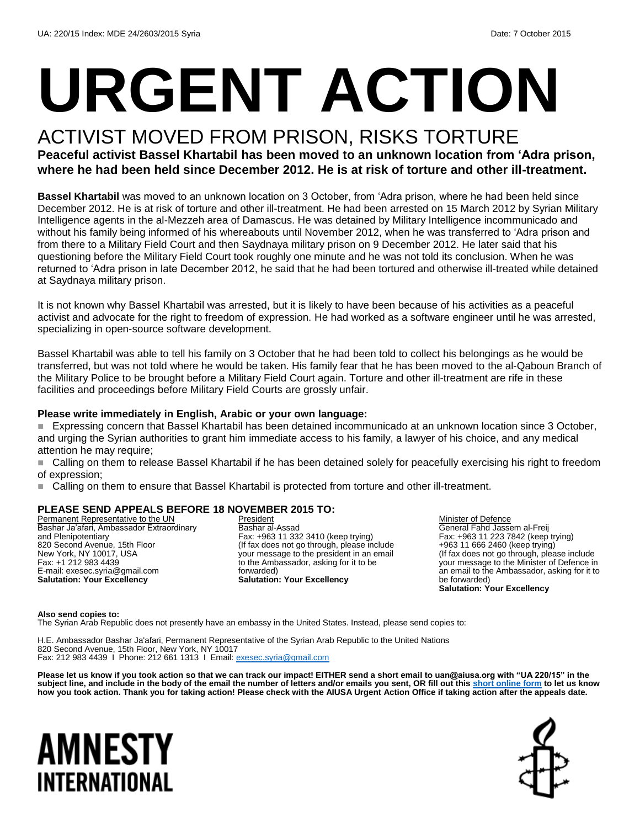# **URGENT ACTION**

## ACTIVIST MOVED FROM PRISON, RISKS TORTURE

**Peaceful activist Bassel Khartabil has been moved to an unknown location from 'Adra prison, where he had been held since December 2012. He is at risk of torture and other ill-treatment.** 

**Bassel Khartabil** was moved to an unknown location on 3 October, from 'Adra prison, where he had been held since December 2012. He is at risk of torture and other ill-treatment. He had been arrested on 15 March 2012 by Syrian Military Intelligence agents in the al-Mezzeh area of Damascus. He was detained by Military Intelligence incommunicado and without his family being informed of his whereabouts until November 2012, when he was transferred to 'Adra prison and from there to a Military Field Court and then Saydnaya military prison on 9 December 2012. He later said that his questioning before the Military Field Court took roughly one minute and he was not told its conclusion. When he was returned to 'Adra prison in late December 2012, he said that he had been tortured and otherwise ill-treated while detained at Saydnaya military prison.

It is not known why Bassel Khartabil was arrested, but it is likely to have been because of his activities as a peaceful activist and advocate for the right to freedom of expression. He had worked as a software engineer until he was arrested, specializing in open-source software development.

Bassel Khartabil was able to tell his family on 3 October that he had been told to collect his belongings as he would be transferred, but was not told where he would be taken. His family fear that he has been moved to the al-Qaboun Branch of the Military Police to be brought before a Military Field Court again. Torture and other ill-treatment are rife in these facilities and proceedings before Military Field Courts are grossly unfair.

#### **Please write immediately in English, Arabic or your own language:**

 Expressing concern that Bassel Khartabil has been detained incommunicado at an unknown location since 3 October, and urging the Syrian authorities to grant him immediate access to his family, a lawyer of his choice, and any medical attention he may require;

 Calling on them to release Bassel Khartabil if he has been detained solely for peacefully exercising his right to freedom of expression;

Calling on them to ensure that Bassel Khartabil is protected from torture and other ill-treatment.

#### **PLEASE SEND APPEALS BEFORE 18 NOVEMBER 2015 TO:**

Permanent Representative to the UN Bashar Ja'afari, Ambassador Extraordinary and Plenipotentiary 820 Second Avenue, 15th Floor New York, NY 10017, USA Fax: +1 212 983 4439 E-mail: exesec.syria@gmail.com **Salutation: Your Excellency**

President Bashar al-Assad Fax: +963 11 332 3410 (keep trying) (If fax does not go through, please include your message to the president in an email to the Ambassador, asking for it to be forwarded) **Salutation: Your Excellency**

Minister of Defence General Fahd Jassem al-Freij Fax: +963 11 223 7842 (keep trying) +963 11 666 2460 (keep trying) (If fax does not go through, please include your message to the Minister of Defence in an email to the Ambassador, asking for it to be forwarded) **Salutation: Your Excellency**

#### **Also send copies to:**

The Syrian Arab Republic does not presently have an embassy in the United States. Instead, please send copies to:

H.E. Ambassador Bashar Ja'afari, Permanent Representative of the Syrian Arab Republic to the United Nations 820 Second Avenue, 15th Floor, New York, NY 10017 Fax: 212 983 4439 I Phone: 212 661 1313 I Email: [exesec.syria@gmail.com](mailto:exesec.syria@gmail.com)

**Please let us know if you took action so that we can track our impact! EITHER send a short email to uan@aiusa.org with "UA 220/15" in the subject line, and include in the body of the email the number of letters and/or emails you sent, OR fill out thi[s short online form](https://www.surveymonkey.com/r/FH6RBPZ) to let us know how you took action. Thank you for taking action! Please check with the AIUSA Urgent Action Office if taking action after the appeals date.**